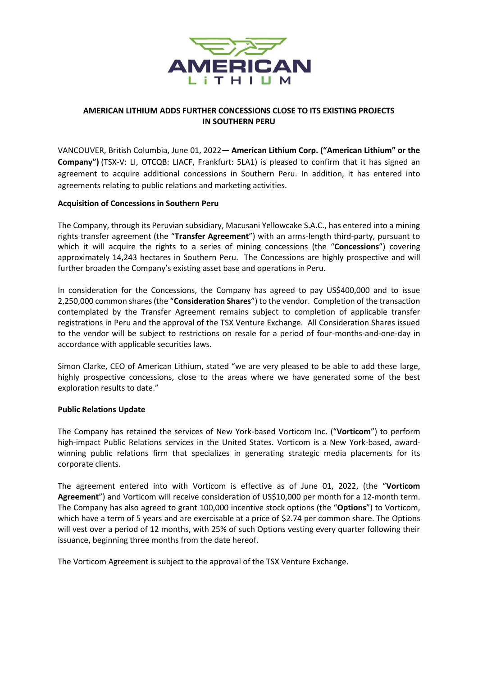

## **AMERICAN LITHIUM ADDS FURTHER CONCESSIONS CLOSE TO ITS EXISTING PROJECTS IN SOUTHERN PERU**

VANCOUVER, British Columbia, June 01, 2022— **American Lithium Corp. ("American Lithium" or the Company")** (TSX-V: LI, OTCQB: LIACF, Frankfurt: 5LA1) is pleased to confirm that it has signed an agreement to acquire additional concessions in Southern Peru. In addition, it has entered into agreements relating to public relations and marketing activities.

## **Acquisition of Concessions in Southern Peru**

The Company, through its Peruvian subsidiary, Macusani Yellowcake S.A.C., has entered into a mining rights transfer agreement (the "**Transfer Agreement**") with an arms-length third-party, pursuant to which it will acquire the rights to a series of mining concessions (the "**Concessions**") covering approximately 14,243 hectares in Southern Peru. The Concessions are highly prospective and will further broaden the Company's existing asset base and operations in Peru.

In consideration for the Concessions, the Company has agreed to pay US\$400,000 and to issue 2,250,000 common shares (the "**Consideration Shares**") to the vendor. Completion of the transaction contemplated by the Transfer Agreement remains subject to completion of applicable transfer registrations in Peru and the approval of the TSX Venture Exchange. All Consideration Shares issued to the vendor will be subject to restrictions on resale for a period of four-months-and-one-day in accordance with applicable securities laws.

Simon Clarke, CEO of American Lithium, stated "we are very pleased to be able to add these large, highly prospective concessions, close to the areas where we have generated some of the best exploration results to date."

#### **Public Relations Update**

The Company has retained the services of New York-based Vorticom Inc. ("**Vorticom**") to perform high-impact Public Relations services in the United States. Vorticom is a New York-based, awardwinning public relations firm that specializes in generating strategic media placements for its corporate clients.

The agreement entered into with Vorticom is effective as of June 01, 2022, (the "**Vorticom Agreement**") and Vorticom will receive consideration of US\$10,000 per month for a 12-month term. The Company has also agreed to grant 100,000 incentive stock options (the "**Options**") to Vorticom, which have a term of 5 years and are exercisable at a price of \$2.74 per common share. The Options will vest over a period of 12 months, with 25% of such Options vesting every quarter following their issuance, beginning three months from the date hereof.

The Vorticom Agreement is subject to the approval of the TSX Venture Exchange.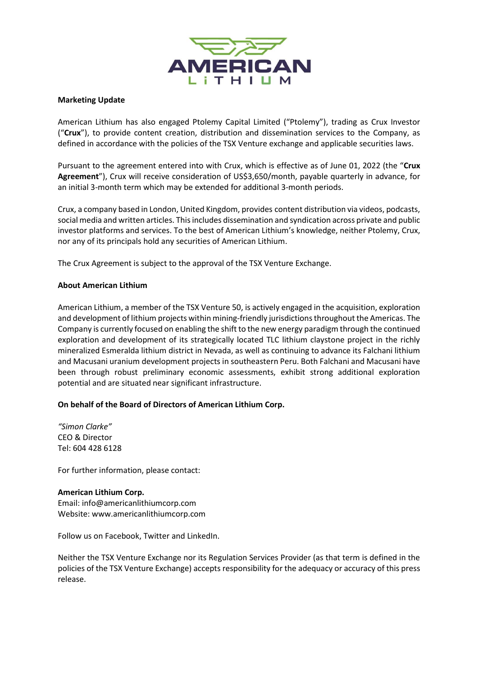

### **Marketing Update**

American Lithium has also engaged Ptolemy Capital Limited ("Ptolemy"), trading as Crux Investor ("**Crux**"), to provide content creation, distribution and dissemination services to the Company, as defined in accordance with the policies of the TSX Venture exchange and applicable securities laws.

Pursuant to the agreement entered into with Crux, which is effective as of June 01, 2022 (the "**Crux Agreement**"), Crux will receive consideration of US\$3,650/month, payable quarterly in advance, for an initial 3-month term which may be extended for additional 3-month periods.

Crux, a company based in London, United Kingdom, provides content distribution via videos, podcasts, social media and written articles. This includes dissemination and syndication across private and public investor platforms and services. To the best of American Lithium's knowledge, neither Ptolemy, Crux, nor any of its principals hold any securities of American Lithium.

The Crux Agreement is subject to the approval of the TSX Venture Exchange.

#### **About American Lithium**

American Lithium, a member of the TSX Venture 50, is actively engaged in the acquisition, exploration and development of lithium projects within mining-friendly jurisdictions throughout the Americas. The Company is currently focused on enabling the shift to the new energy paradigm through the continued exploration and development of its strategically located TLC lithium claystone project in the richly mineralized Esmeralda lithium district in Nevada, as well as continuing to advance its Falchani lithium and Macusani uranium development projects in southeastern Peru. Both Falchani and Macusani have been through robust preliminary economic assessments, exhibit strong additional exploration potential and are situated near significant infrastructure.

# **On behalf of the Board of Directors of American Lithium Corp.**

*"Simon Clarke"* CEO & Director Tel: 604 428 6128

For further information, please contact:

#### **American Lithium Corp.**

Email: [info@americanlithiumcorp.com](https://www.globenewswire.com/Tracker?data=4RAjCc3GhUGEGy_Vew1YJjjnNKIf2PtqV47un9w4563ih4PZtWEv---XIyDIQcpq6JKFS-pLMWmPUCv-JV3b3twKV9d7HdY_twZWFdYrVSrInIDfitWjE0srFF07zovm) Website: [www.americanlithiumcorp.com](https://www.globenewswire.com/Tracker?data=bWzw2XjvZgBMwPHzSvCRkDAPCP85Xa5gya87MCVnbwJT5_8JD6VBNchZAYlvF6YoPqL0IylUM9UlUYChsTUQUfLPZIoLBi9G1-V07lsaSw9SUMg1pAthTDlYiO1KtiWP)

Follow us on [Facebook,](https://www.globenewswire.com/Tracker?data=DcUimv-zBwzQdeCeeHZy95n-fHi5YchT3tuPQTU-Jxxo3fmDdJOEQtvqvRczChg8Ufm3fZ98F2iH8wyKbJ-xWov19sB0EO4OQOJ5Qoqa1tY=) [Twitter](https://www.globenewswire.com/Tracker?data=9dIGXE31RAI0rcmVOyQu6aHfcCe62CBGq_rUM22q3_DldHxQ2rGEdfLpZmlTyQYlLQNhgHzk4spMxcSjpeiyIA==) and [LinkedIn.](https://www.globenewswire.com/Tracker?data=Aheth0Dg7VSNLdVR4cEGzo76RKjDgZeRlbeLxf35663-FjBrUaToTAun1jp3FZypPXxDtLcpn-j0OiwVppcqgDXqFg3A7Qnh-Vv5jWstLy-fyeKir-TU3XpgSUwU8Zuh)

Neither the TSX Venture Exchange nor its Regulation Services Provider (as that term is defined in the policies of the TSX Venture Exchange) accepts responsibility for the adequacy or accuracy of this press release.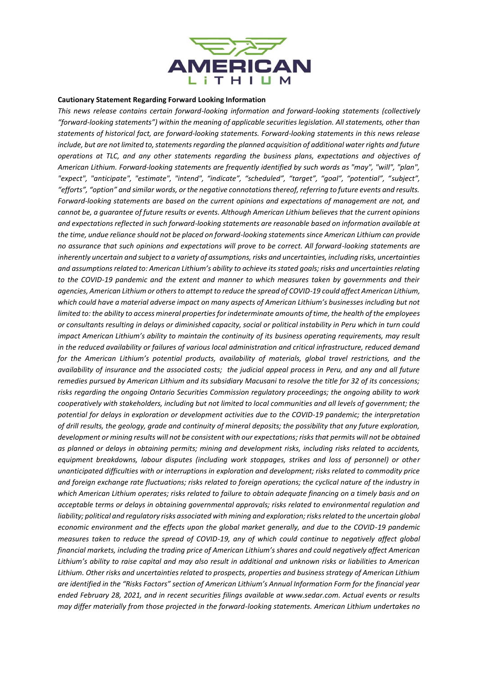

#### **Cautionary Statement Regarding Forward Looking Information**

*This news release contains certain forward-looking information and forward-looking statements (collectively "forward-looking statements") within the meaning of applicable securities legislation. All statements, other than statements of historical fact, are forward-looking statements. Forward-looking statements in this news release include, but are not limited to, statements regarding the planned acquisition of additional water rights and future operations at TLC, and any other statements regarding the business plans, expectations and objectives of American Lithium. Forward-looking statements are frequently identified by such words as "may", "will", "plan", "expect", "anticipate", "estimate", "intend", "indicate", "scheduled", "target", "goal", "potential", "subject", "efforts", "option" and similar words, or the negative connotations thereof, referring to future events and results. Forward-looking statements are based on the current opinions and expectations of management are not, and cannot be, a guarantee of future results or events. Although American Lithium believes that the current opinions and expectations reflected in such forward-looking statements are reasonable based on information available at the time, undue reliance should not be placed on forward-looking statements since American Lithium can provide no assurance that such opinions and expectations will prove to be correct. All forward-looking statements are inherently uncertain and subject to a variety of assumptions, risks and uncertainties, including risks, uncertainties and assumptions related to: American Lithium's ability to achieve its stated goals; risks and uncertainties relating to the COVID-19 pandemic and the extent and manner to which measures taken by governments and their agencies, American Lithium or others to attempt to reduce the spread of COVID-19 could affect American Lithium,*  which could have a material adverse impact on many aspects of American Lithium's businesses including but not *limited to: the ability to access mineral properties for indeterminate amounts of time, the health of the employees or consultants resulting in delays or diminished capacity, social or political instability in Peru which in turn could impact American Lithium's ability to maintain the continuity of its business operating requirements, may result in the reduced availability or failures of various local administration and critical infrastructure, reduced demand for the American Lithium's potential products, availability of materials, global travel restrictions, and the availability of insurance and the associated costs; the judicial appeal process in Peru, and any and all future remedies pursued by American Lithium and its subsidiary Macusani to resolve the title for 32 of its concessions; risks regarding the ongoing Ontario Securities Commission regulatory proceedings; the ongoing ability to work cooperatively with stakeholders, including but not limited to local communities and all levels of government; the potential for delays in exploration or development activities due to the COVID-19 pandemic; the interpretation of drill results, the geology, grade and continuity of mineral deposits; the possibility that any future exploration, development or mining results will not be consistent with our expectations; risks that permits will not be obtained as planned or delays in obtaining permits; mining and development risks, including risks related to accidents, equipment breakdowns, labour disputes (including work stoppages, strikes and loss of personnel) or other unanticipated difficulties with or interruptions in exploration and development; risks related to commodity price and foreign exchange rate fluctuations; risks related to foreign operations; the cyclical nature of the industry in which American Lithium operates; risks related to failure to obtain adequate financing on a timely basis and on acceptable terms or delays in obtaining governmental approvals; risks related to environmental regulation and liability; political and regulatory risks associated with mining and exploration; risks related to the uncertain global economic environment and the effects upon the global market generally, and due to the COVID-19 pandemic measures taken to reduce the spread of COVID-19, any of which could continue to negatively affect global financial markets, including the trading price of American Lithium's shares and could negatively affect American Lithium's ability to raise capital and may also result in additional and unknown risks or liabilities to American Lithium. Other risks and uncertainties related to prospects, properties and business strategy of American Lithium are identified in the "Risks Factors" section of American Lithium's Annual Information Form for the financial year ended February 28, 2021, and in recent securities filings available at www.sedar.com. Actual events or results may differ materially from those projected in the forward-looking statements. American Lithium undertakes no*